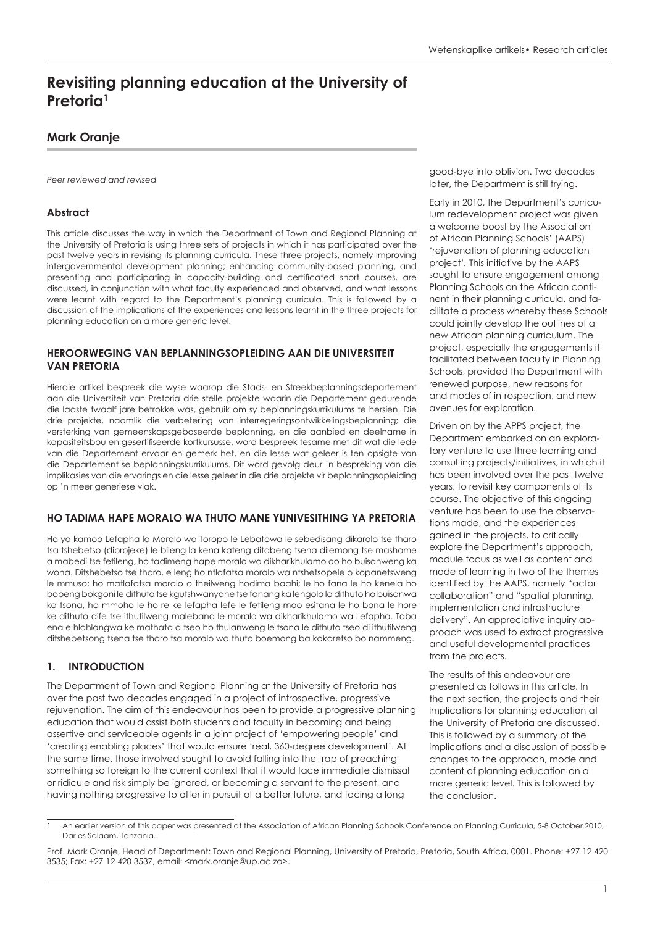# **Revisiting planning education at the University of Pretoria<sup>1</sup>**

# **Mark Oranje**

*Peer reviewed and revised*

# **Abstract**

This article discusses the way in which the Department of Town and Regional Planning at the University of Pretoria is using three sets of projects in which it has participated over the past twelve years in revising its planning curricula. These three projects, namely improving intergovernmental development planning; enhancing community-based planning, and presenting and participating in capacity-building and certificated short courses, are discussed, in conjunction with what faculty experienced and observed, and what lessons were learnt with regard to the Department's planning curricula. This is followed by a discussion of the implications of the experiences and lessons learnt in the three projects for planning education on a more generic level.

#### **HEROORWEGING VAN BEPLANNINGSOPLEIDING AAN DIE UNIVERSITEIT VAN PRETORIA**

Hierdie artikel bespreek die wyse waarop die Stads- en Streekbeplanningsdepartement aan die Universiteit van Pretoria drie stelle projekte waarin die Departement gedurende die laaste twaalf jare betrokke was, gebruik om sy beplanningskurrikulums te hersien. Die drie projekte, naamlik die verbetering van interregeringsontwikkelingsbeplanning; die versterking van gemeenskapsgebaseerde beplanning, en die aanbied en deelname in kapasiteitsbou en gesertifiseerde kortkursusse, word bespreek tesame met dit wat die lede van die Departement ervaar en gemerk het, en die lesse wat geleer is ten opsigte van die Departement se beplanningskurrikulums. Dit word gevolg deur 'n bespreking van die implikasies van die ervarings en die lesse geleer in die drie projekte vir beplanningsopleiding op 'n meer generiese vlak.

#### **HO TADIMA HAPE MORALO WA THUTO MANE YUNIVESITHING YA PRETORIA**

Ho ya kamoo Lefapha la Moralo wa Toropo le Lebatowa le sebedisang dikarolo tse tharo tsa tshebetso (diprojeke) le bileng la kena kateng ditabeng tsena dilemong tse mashome a mabedi tse fetileng, ho tadimeng hape moralo wa dikharikhulamo oo ho buisanweng ka wona. Ditshebetso tse tharo, e leng ho ntlafatsa moralo wa ntshetsopele o kopanetsweng le mmuso; ho matlafatsa moralo o theilweng hodima baahi; le ho fana le ho kenela ho bopeng bokgoni le dithuto tse kgutshwanyane tse fanang ka lengolo la dithuto ho buisanwa ka tsona, ha mmoho le ho re ke lefapha lefe le fetileng moo esitana le ho bona le hore ke dithuto dife tse ithutilweng malebana le moralo wa dikharikhulamo wa Lefapha. Taba ena e hlahlangwa ke mathata a tseo ho thulanweng le tsona le dithuto tseo di ithutilweng ditshebetsong tsena tse tharo tsa moralo wa thuto boemong ba kakaretso bo nammeng.

#### **1. INTRODUCTION**

The Department of Town and Regional Planning at the University of Pretoria has over the past two decades engaged in a project of introspective, progressive rejuvenation. The aim of this endeavour has been to provide a progressive planning education that would assist both students and faculty in becoming and being assertive and serviceable agents in a joint project of 'empowering people' and 'creating enabling places' that would ensure 'real, 360-degree development'. At the same time, those involved sought to avoid falling into the trap of preaching something so foreign to the current context that it would face immediate dismissal or ridicule and risk simply be ignored, or becoming a servant to the present, and having nothing progressive to offer in pursuit of a better future, and facing a long

good-bye into oblivion. Two decades later, the Department is still trying.

Early in 2010, the Department's curriculum redevelopment project was given a welcome boost by the Association of African Planning Schools' (AAPS) 'rejuvenation of planning education project'*.* This initiative by the AAPS sought to ensure engagement among Planning Schools on the African continent in their planning curricula, and facilitate a process whereby these Schools could jointly develop the outlines of a new African planning curriculum. The project, especially the engagements it facilitated between faculty in Planning Schools, provided the Department with renewed purpose, new reasons for and modes of introspection, and new avenues for exploration.

Driven on by the APPS project, the Department embarked on an exploratory venture to use three learning and consulting projects/initiatives, in which it has been involved over the past twelve years, to revisit key components of its course. The objective of this ongoing venture has been to use the observations made, and the experiences gained in the projects, to critically explore the Department's approach, module focus as well as content and mode of learning in two of the themes identified by the AAPS, namely "actor collaboration" and "spatial planning, implementation and infrastructure delivery". An appreciative inquiry approach was used to extract progressive and useful developmental practices from the projects.

The results of this endeavour are presented as follows in this article. In the next section, the projects and their implications for planning education at the University of Pretoria are discussed. This is followed by a summary of the implications and a discussion of possible changes to the approach, mode and content of planning education on a more generic level. This is followed by the conclusion.

<sup>1</sup> An earlier version of this paper was presented at the Association of African Planning Schools Conference on Planning Curricula, 5-8 October 2010, Dar es Salaam, Tanzania.

Prof. Mark Oranje, Head of Department: Town and Regional Planning, University of Pretoria, Pretoria, South Africa, 0001. Phone: +27 12 420 3535; Fax: +27 12 420 3537, email: <mark.oranje@up.ac.za>.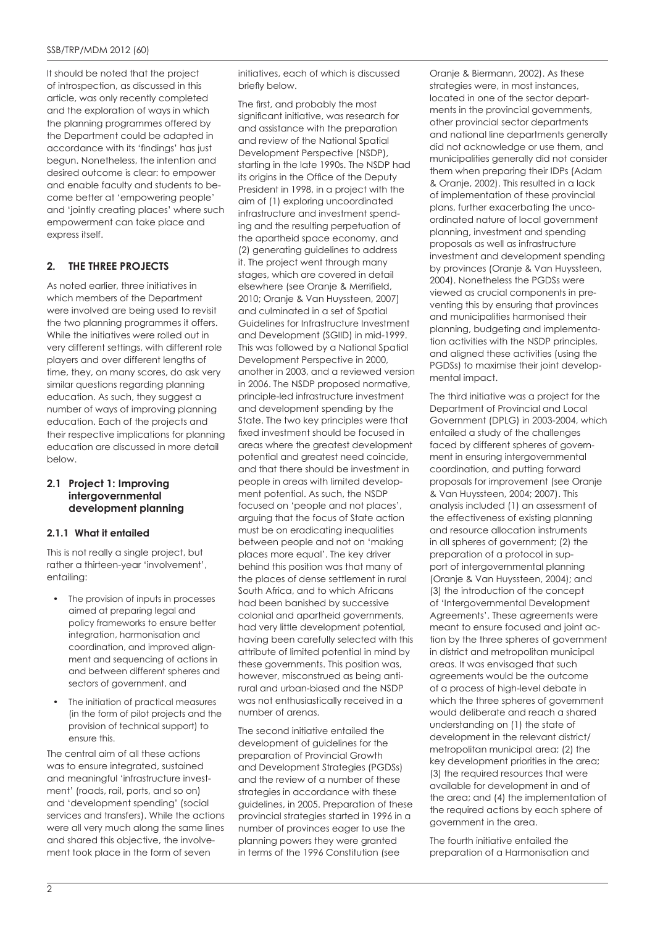It should be noted that the project of introspection, as discussed in this article, was only recently completed and the exploration of ways in which the planning programmes offered by the Department could be adapted in accordance with its 'findings' has just begun. Nonetheless, the intention and desired outcome is clear: to empower and enable faculty and students to become better at 'empowering people' and 'jointly creating places' where such empowerment can take place and express itself.

# **2. THE THREE PROJECTS**

As noted earlier, three initiatives in which members of the Department were involved are being used to revisit the two planning programmes it offers. While the initiatives were rolled out in very different settings, with different role players and over different lengths of time, they, on many scores, do ask very similar questions regarding planning education. As such, they suggest a number of ways of improving planning education. Each of the projects and their respective implications for planning education are discussed in more detail below.

#### **2.1 Project 1: Improving intergovernmental development planning**

#### **2.1.1 What it entailed**

This is not really a single project, but rather a thirteen-year 'involvement', entailing:

- The provision of inputs in processes aimed at preparing legal and policy frameworks to ensure better integration, harmonisation and coordination, and improved alignment and sequencing of actions in and between different spheres and sectors of government, and
- The initiation of practical measures (in the form of pilot projects and the provision of technical support) to ensure this.

The central aim of all these actions was to ensure integrated, sustained and meaningful 'infrastructure investment' (roads, rail, ports, and so on) and 'development spending' (social services and transfers). While the actions were all very much along the same lines and shared this objective, the involvement took place in the form of seven

initiatives, each of which is discussed briefly below.

The first, and probably the most significant initiative, was research for and assistance with the preparation and review of the National Spatial Development Perspective (NSDP), starting in the late 1990s. The NSDP had its origins in the Office of the Deputy President in 1998, in a project with the aim of (1) exploring uncoordinated infrastructure and investment spending and the resulting perpetuation of the apartheid space economy, and (2) generating guidelines to address it. The project went through many stages, which are covered in detail elsewhere (see Oranje & Merrifield, 2010; Oranje & Van Huyssteen, 2007) and culminated in a set of Spatial Guidelines for Infrastructure Investment and Development (SGIID) in mid-1999. This was followed by a National Spatial Development Perspective in 2000, another in 2003, and a reviewed version in 2006. The NSDP proposed normative, principle-led infrastructure investment and development spending by the State. The two key principles were that fixed investment should be focused in areas where the greatest development potential and greatest need coincide, and that there should be investment in people in areas with limited development potential. As such, the NSDP focused on 'people and not places', arguing that the focus of State action must be on eradicating inequalities between people and not on 'making places more equal'. The key driver behind this position was that many of the places of dense settlement in rural South Africa, and to which Africans had been banished by successive colonial and apartheid governments, had very little development potential, having been carefully selected with this attribute of limited potential in mind by these governments. This position was, however, misconstrued as being antirural and urban-biased and the NSDP was not enthusiastically received in a number of arenas.

The second initiative entailed the development of guidelines for the preparation of Provincial Growth and Development Strategies (PGDSs) and the review of a number of these strategies in accordance with these guidelines, in 2005. Preparation of these provincial strategies started in 1996 in a number of provinces eager to use the planning powers they were granted in terms of the 1996 Constitution (see

Oranje & Biermann, 2002). As these strategies were, in most instances, located in one of the sector departments in the provincial governments, other provincial sector departments and national line departments generally did not acknowledge or use them, and municipalities generally did not consider them when preparing their IDPs (Adam & Oranje, 2002). This resulted in a lack of implementation of these provincial plans, further exacerbating the uncoordinated nature of local government planning, investment and spending proposals as well as infrastructure investment and development spending by provinces (Oranje & Van Huyssteen, 2004). Nonetheless the PGDSs were viewed as crucial components in preventing this by ensuring that provinces and municipalities harmonised their planning, budgeting and implementation activities with the NSDP principles, and aligned these activities (using the PGDSs) to maximise their joint developmental impact.

The third initiative was a project for the Department of Provincial and Local Government (DPLG) in 2003-2004, which entailed a study of the challenges faced by different spheres of government in ensuring intergovernmental coordination, and putting forward proposals for improvement (see Oranje & Van Huyssteen, 2004; 2007). This analysis included (1) an assessment of the effectiveness of existing planning and resource allocation instruments in all spheres of government; (2) the preparation of a protocol in support of intergovernmental planning (Oranje & Van Huyssteen, 2004); and (3) the introduction of the concept of 'Intergovernmental Development Agreements'. These agreements were meant to ensure focused and joint action by the three spheres of government in district and metropolitan municipal areas. It was envisaged that such agreements would be the outcome of a process of high-level debate in which the three spheres of government would deliberate and reach a shared understanding on (1) the state of development in the relevant district/ metropolitan municipal area; (2) the key development priorities in the area; (3) the required resources that were available for development in and of the area; and (4) the implementation of the required actions by each sphere of government in the area.

The fourth initiative entailed the preparation of a Harmonisation and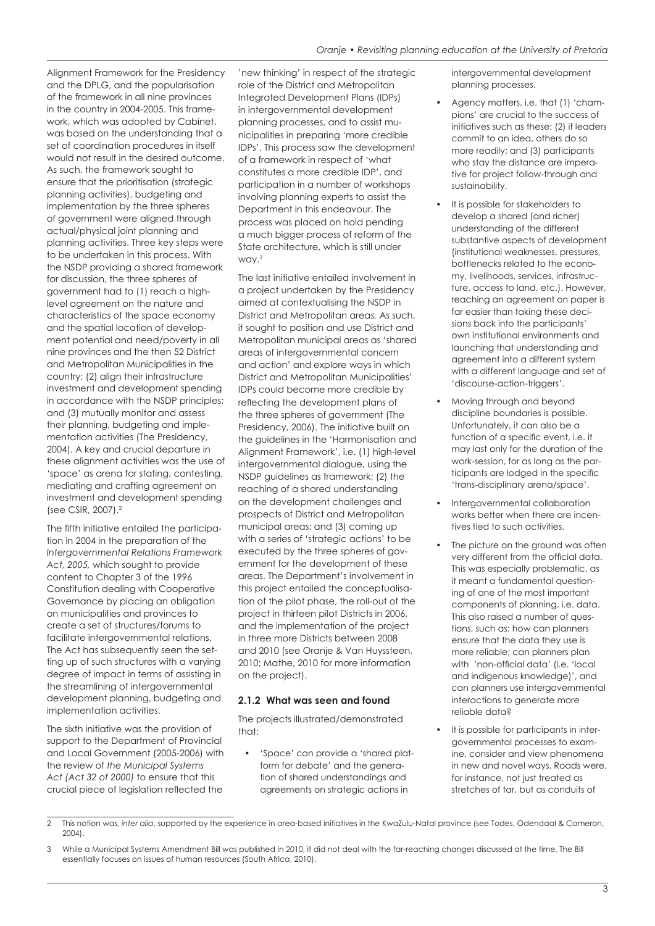Alignment Framework for the Presidency and the DPLG, and the popularisation of the framework in all nine provinces in the country in 2004-2005. This framework, which was adopted by Cabinet, was based on the understanding that a set of coordination procedures in itself would not result in the desired outcome. As such, the framework sought to ensure that the prioritisation (strategic planning activities), budgeting and implementation by the three spheres of government were aligned through actual/physical joint planning and planning activities. Three key steps were to be undertaken in this process. With the NSDP providing a shared framework for discussion, the three spheres of government had to (1) reach a highlevel agreement on the nature and characteristics of the space economy and the spatial location of development potential and need/poverty in all nine provinces and the then 52 District and Metropolitan Municipalities in the country; (2) align their infrastructure investment and development spending in accordance with the NSDP principles; and (3) mutually monitor and assess their planning, budgeting and implementation activities (The Presidency, 2004). A key and crucial departure in these alignment activities was the use of 'space' as arena for stating, contesting, mediating and crafting agreement on investment and development spending (see CSIR, 2007).2

The fifth initiative entailed the participation in 2004 in the preparation of the *Intergovernmental Relations Framework Act, 2005,* which sought to provide content to Chapter 3 of the 1996 Constitution dealing with Cooperative Governance by placing an obligation on municipalities and provinces to create a set of structures/forums to facilitate intergovernmental relations. The Act has subsequently seen the setting up of such structures with a varying degree of impact in terms of assisting in the streamlining of intergovernmental development planning, budgeting and implementation activities.

The sixth initiative was the provision of support to the Department of Provincial and Local Government (2005-2006) with the review of *the Municipal Systems Act (Act 32 of 2000)* to ensure that this crucial piece of legislation reflected the

'new thinking' in respect of the strategic role of the District and Metropolitan Integrated Development Plans (IDPs) in intergovernmental development planning processes, and to assist municipalities in preparing 'more credible IDPs'. This process saw the development of a framework in respect of 'what constitutes a more credible IDP', and participation in a number of workshops involving planning experts to assist the Department in this endeavour. The process was placed on hold pending a much bigger process of reform of the State architecture, which is still under way.3

The last initiative entailed involvement in a project undertaken by the Presidency aimed at contextualising the NSDP in District and Metropolitan areas*.* As such, it sought to position and use District and Metropolitan municipal areas as 'shared areas of intergovernmental concern and action' and explore ways in which District and Metropolitan Municipalities' IDPs could become more credible by reflecting the development plans of the three spheres of government (The Presidency, 2006). The initiative built on the guidelines in the 'Harmonisation and Alignment Framework', i.e. (1) high-level intergovernmental dialogue, using the NSDP guidelines as framework; (2) the reaching of a shared understanding on the development challenges and prospects of District and Metropolitan municipal areas; and (3) coming up with a series of 'strategic actions' to be executed by the three spheres of government for the development of these areas. The Department's involvement in this project entailed the conceptualisation of the pilot phase, the roll-out of the project in thirteen pilot Districts in 2006, and the implementation of the project in three more Districts between 2008 and 2010 (see Oranje & Van Huyssteen, 2010; Mathe, 2010 for more information on the project).

#### **2.1.2 What was seen and found**

The projects illustrated/demonstrated that:

• 'Space' can provide a 'shared platform for debate' and the generation of shared understandings and agreements on strategic actions in

intergovernmental development planning processes.

- Agency matters, i.e. that (1) 'champions' are crucial to the success of initiatives such as these; (2) if leaders commit to an idea, others do so more readily; and (3) participants who stay the distance are imperative for project follow-through and sustainability.
- It is possible for stakeholders to develop a shared (and richer) understanding of the different substantive aspects of development (institutional weaknesses, pressures, bottlenecks related to the economy, livelihoods, services, infrastructure, access to land, etc.). However, reaching an agreement on paper is far easier than taking these decisions back into the participants' own institutional environments and launching that understanding and agreement into a different system with a different language and set of 'discourse-action-triggers'.
- Moving through and beyond discipline boundaries is possible. Unfortunately, it can also be a function of a specific event, i.e. it may last only for the duration of the work-session, for as long as the participants are lodged in the specific 'trans-disciplinary arena/space'.
- Intergovernmental collaboration works better when there are incentives tied to such activities.
- The picture on the ground was often very different from the official data. This was especially problematic, as it meant a fundamental questioning of one of the most important components of planning, i.e. data. This also raised a number of questions, such as: how can planners ensure that the data they use is more reliable; can planners plan with 'non-official data' (i.e. 'local and indigenous knowledge)', and can planners use intergovernmental interactions to generate more reliable data?
- It is possible for participants in intergovernmental processes to examine, consider and view phenomena in new and novel ways. Roads were, for instance, not just treated as stretches of tar, but as conduits of

<sup>2</sup> This notion was, *inter alia*, supported by the experience in area-based initiatives in the KwaZulu-Natal province (see Todes, Odendaal & Cameron, 2004).

<sup>3</sup> While a Municipal Systems Amendment Bill was published in 2010, it did not deal with the far-reaching changes discussed at the time. The Bill essentially focuses on issues of human resources (South Africa, 2010).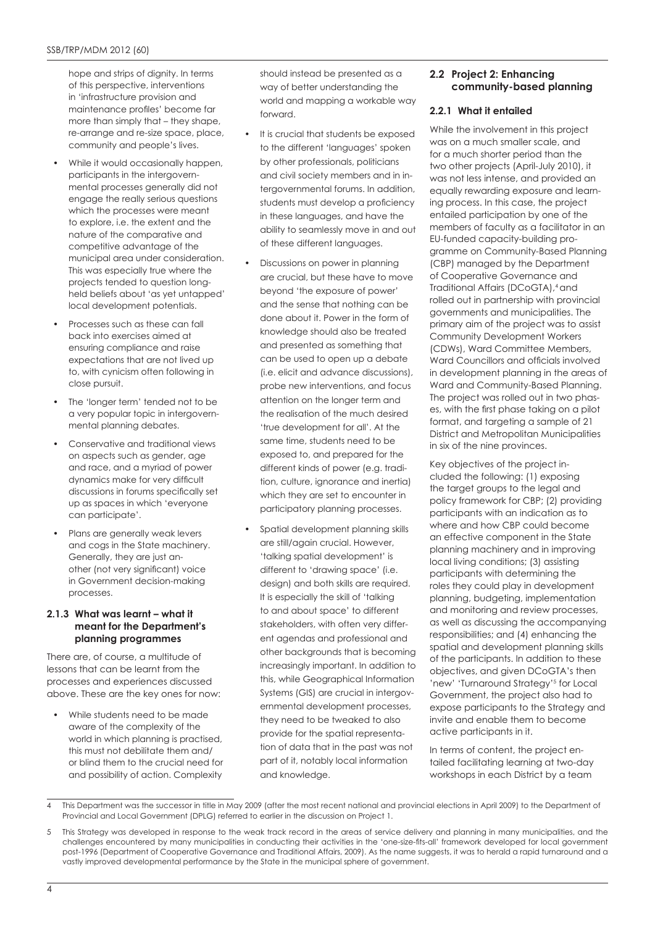hope and strips of dignity. In terms of this perspective, interventions in 'infrastructure provision and maintenance profiles' become far more than simply that – they shape, re-arrange and re-size space, place, community and people's lives.

- While it would occasionally happen, participants in the intergovernmental processes generally did not engage the really serious questions which the processes were meant to explore, i.e. the extent and the nature of the comparative and competitive advantage of the municipal area under consideration. This was especially true where the projects tended to question longheld beliefs about 'as yet untapped' local development potentials.
- Processes such as these can fall back into exercises aimed at ensuring compliance and raise expectations that are not lived up to, with cynicism often following in close pursuit.
- The 'longer term' tended not to be a very popular topic in intergovernmental planning debates.
- Conservative and traditional views on aspects such as gender, age and race, and a myriad of power dynamics make for very difficult discussions in forums specifically set up as spaces in which 'everyone can participate'.
- Plans are generally weak levers and cogs in the State machinery. Generally, they are just another (not very significant) voice in Government decision-making processes.

#### **2.1.3 What was learnt – what it meant for the Department's planning programmes**

There are, of course, a multitude of lessons that can be learnt from the processes and experiences discussed above. These are the key ones for now:

• While students need to be made aware of the complexity of the world in which planning is practised, this must not debilitate them and/ or blind them to the crucial need for and possibility of action. Complexity

should instead be presented as a way of better understanding the world and mapping a workable way forward.

- It is crucial that students be exposed to the different 'languages' spoken by other professionals, politicians and civil society members and in intergovernmental forums. In addition, students must develop a proficiency in these languages, and have the ability to seamlessly move in and out of these different languages.
- Discussions on power in planning are crucial, but these have to move beyond 'the exposure of power' and the sense that nothing can be done about it. Power in the form of knowledge should also be treated and presented as something that can be used to open up a debate (i.e. elicit and advance discussions), probe new interventions, and focus attention on the longer term and the realisation of the much desired 'true development for all'. At the same time, students need to be exposed to, and prepared for the different kinds of power (e.g. tradition, culture, ignorance and inertia) which they are set to encounter in participatory planning processes.
- Spatial development planning skills are still/again crucial. However, 'talking spatial development' is different to 'drawing space' (i.e. design) and both skills are required. It is especially the skill of 'talking to and about space' to different stakeholders, with often very different agendas and professional and other backgrounds that is becoming increasingly important. In addition to this, while Geographical Information Systems (GIS) are crucial in intergovernmental development processes, they need to be tweaked to also provide for the spatial representation of data that in the past was not part of it, notably local information and knowledge.

# **2.2 Project 2: Enhancing community-based planning**

# **2.2.1 What it entailed**

While the involvement in this project was on a much smaller scale, and for a much shorter period than the two other projects (April-July 2010), it was not less intense, and provided an equally rewarding exposure and learning process. In this case, the project entailed participation by one of the members of faculty as a facilitator in an EU-funded capacity-building programme on Community-Based Planning (CBP) managed by the Department of Cooperative Governance and Traditional Affairs (DCoGTA),4 and rolled out in partnership with provincial governments and municipalities. The primary aim of the project was to assist Community Development Workers (CDWs), Ward Committee Members, Ward Councillors and officials involved in development planning in the areas of Ward and Community-Based Planning. The project was rolled out in two phases, with the first phase taking on a pilot format, and targeting a sample of 21 District and Metropolitan Municipalities in six of the nine provinces.

Key objectives of the project included the following: (1) exposing the target groups to the legal and policy framework for CBP; (2) providing participants with an indication as to where and how CBP could become an effective component in the State planning machinery and in improving local living conditions; (3) assisting participants with determining the roles they could play in development planning, budgeting, implementation and monitoring and review processes, as well as discussing the accompanying responsibilities; and (4) enhancing the spatial and development planning skills of the participants. In addition to these objectives, and given DCoGTA's then 'new' 'Turnaround Strategy'<sup>5</sup> for Local Government, the project also had to expose participants to the Strategy and invite and enable them to become active participants in it.

In terms of content, the project entailed facilitating learning at two-day workshops in each District by a team

This Department was the successor in title in May 2009 (after the most recent national and provincial elections in April 2009) to the Department of Provincial and Local Government (DPLG) referred to earlier in the discussion on Project 1.

<sup>5</sup> This Strategy was developed in response to the weak track record in the areas of service delivery and planning in many municipalities, and the challenges encountered by many municipalities in conducting their activities in the 'one-size-fits-all' framework developed for local government post-1996 (Department of Cooperative Governance and Traditional Affairs, 2009). As the name suggests, it was to herald a rapid turnaround and a vastly improved developmental performance by the State in the municipal sphere of government.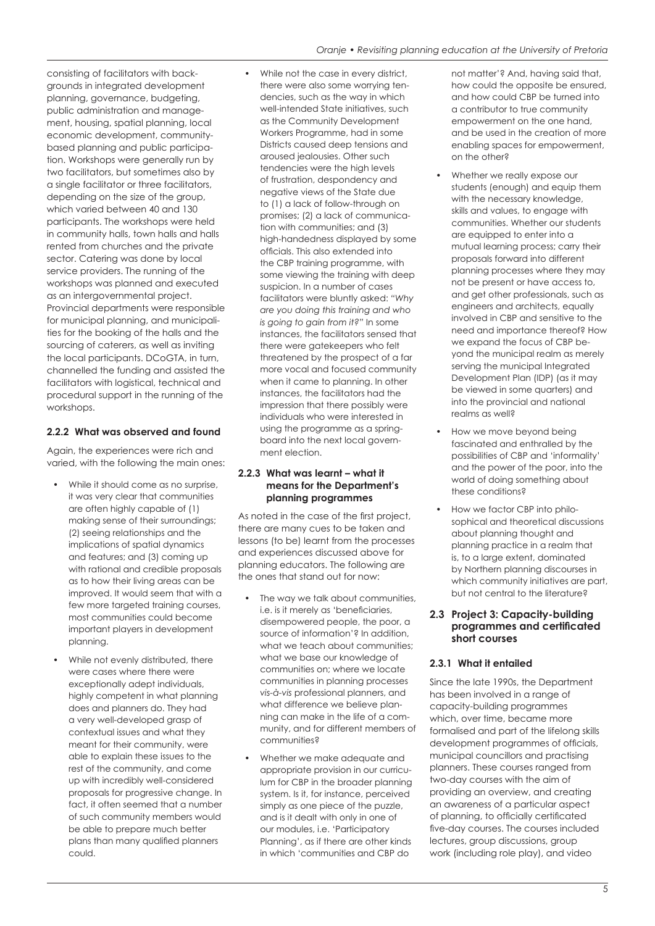consisting of facilitators with backgrounds in integrated development planning, governance, budgeting, public administration and management, housing, spatial planning, local economic development, communitybased planning and public participation. Workshops were generally run by two facilitators, but sometimes also by a single facilitator or three facilitators, depending on the size of the group, which varied between 40 and 130 participants. The workshops were held in community halls, town halls and halls rented from churches and the private sector. Catering was done by local service providers. The running of the workshops was planned and executed as an intergovernmental project. Provincial departments were responsible for municipal planning, and municipalities for the booking of the halls and the sourcing of caterers, as well as inviting the local participants. DCoGTA, in turn, channelled the funding and assisted the facilitators with logistical, technical and procedural support in the running of the workshops.

# **2.2.2 What was observed and found**

Again, the experiences were rich and varied, with the following the main ones:

- While it should come as no surprise, it was very clear that communities are often highly capable of (1) making sense of their surroundings; (2) seeing relationships and the implications of spatial dynamics and features; and (3) coming up with rational and credible proposals as to how their living areas can be improved. It would seem that with a few more targeted training courses, most communities could become important players in development planning.
- While not evenly distributed, there were cases where there were exceptionally adept individuals, highly competent in what planning does and planners do. They had a very well-developed grasp of contextual issues and what they meant for their community, were able to explain these issues to the rest of the community, and come up with incredibly well-considered proposals for progressive change. In fact, it often seemed that a number of such community members would be able to prepare much better plans than many qualified planners could.

While not the case in every district, there were also some worrying tendencies, such as the way in which well-intended State initiatives, such as the Community Development Workers Programme, had in some Districts caused deep tensions and aroused jealousies. Other such tendencies were the high levels of frustration, despondency and negative views of the State due to (1) a lack of follow-through on promises; (2) a lack of communication with communities; and (3) high-handedness displayed by some officials. This also extended into the CBP training programme, with some viewing the training with deep suspicion. In a number of cases facilitators were bluntly asked: *"Why are you doing this training and who is going to gain from it?"* In some instances, the facilitators sensed that there were gatekeepers who felt threatened by the prospect of a far more vocal and focused community when it came to planning. In other instances, the facilitators had the impression that there possibly were individuals who were interested in using the programme as a springboard into the next local government election.

#### **2.2.3 What was learnt – what it means for the Department's planning programmes**

As noted in the case of the first project, there are many cues to be taken and lessons (to be) learnt from the processes and experiences discussed above for planning educators. The following are the ones that stand out for now:

- The way we talk about communities, i.e. is it merely as 'beneficiaries, disempowered people, the poor, a source of information'? In addition, what we teach about communities: what we base our knowledge of communities on; where we locate communities in planning processes *vis-à-vis* professional planners, and what difference we believe planning can make in the life of a community, and for different members of communities?
- Whether we make adequate and appropriate provision in our curriculum for CBP in the broader planning system. Is it, for instance, perceived simply as one piece of the puzzle, and is it dealt with only in one of our modules, i.e. 'Participatory Planning', as if there are other kinds in which 'communities and CBP do

not matter'? And, having said that, how could the opposite be ensured, and how could CBP be turned into a contributor to true community empowerment on the one hand, and be used in the creation of more enabling spaces for empowerment, on the other?

- Whether we really expose our students (enough) and equip them with the necessary knowledge, skills and values, to engage with communities. Whether our students are equipped to enter into a mutual learning process; carry their proposals forward into different planning processes where they may not be present or have access to, and get other professionals, such as engineers and architects, equally involved in CBP and sensitive to the need and importance thereof? How we expand the focus of CBP beyond the municipal realm as merely serving the municipal Integrated Development Plan (IDP) (as it may be viewed in some quarters) and into the provincial and national realms as well?
- How we move beyond being fascinated and enthralled by the possibilities of CBP and 'informality' and the power of the poor, into the world of doing something about these conditions?
- How we factor CBP into philosophical and theoretical discussions about planning thought and planning practice in a realm that is, to a large extent, dominated by Northern planning discourses in which community initiatives are part, but not central to the literature?

#### **2.3 Project 3: Capacity-building programmes and certificated short courses**

#### **2.3.1 What it entailed**

Since the late 1990s, the Department has been involved in a range of capacity-building programmes which, over time, became more formalised and part of the lifelong skills development programmes of officials, municipal councillors and practising planners. These courses ranged from two-day courses with the aim of providing an overview, and creating an awareness of a particular aspect of planning, to officially certificated five-day courses. The courses included lectures, group discussions, group work (including role play), and video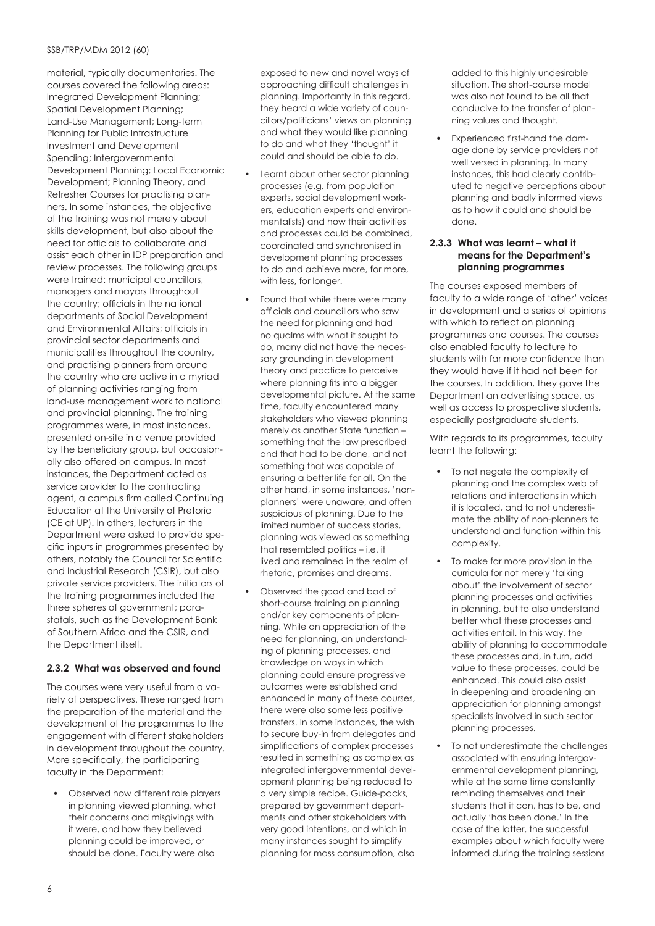material, typically documentaries. The courses covered the following areas: Integrated Development Planning; Spatial Development Planning; Land-Use Management; Long-term Planning for Public Infrastructure Investment and Development Spending; Intergovernmental Development Planning; Local Economic Development; Planning Theory, and Refresher Courses for practising planners. In some instances, the objective of the training was not merely about skills development, but also about the need for officials to collaborate and assist each other in IDP preparation and review processes. The following groups were trained: municipal councillors, managers and mayors throughout the country; officials in the national departments of Social Development and Environmental Affairs; officials in provincial sector departments and municipalities throughout the country, and practising planners from around the country who are active in a myriad of planning activities ranging from land-use management work to national and provincial planning. The training programmes were, in most instances, presented on-site in a venue provided by the beneficiary group, but occasionally also offered on campus. In most instances, the Department acted as service provider to the contracting agent, a campus firm called Continuing Education at the University of Pretoria (CE at UP). In others, lecturers in the Department were asked to provide specific inputs in programmes presented by others, notably the Council for Scientific and Industrial Research (CSIR), but also private service providers. The initiators of the training programmes included the three spheres of government; parastatals, such as the Development Bank of Southern Africa and the CSIR, and the Department itself.

# **2.3.2 What was observed and found**

The courses were very useful from a variety of perspectives. These ranged from the preparation of the material and the development of the programmes to the engagement with different stakeholders in development throughout the country. More specifically, the participating faculty in the Department:

• Observed how different role players in planning viewed planning, what their concerns and misgivings with it were, and how they believed planning could be improved, or should be done. Faculty were also

exposed to new and novel ways of approaching difficult challenges in planning. Importantly in this regard, they heard a wide variety of councillors/politicians' views on planning and what they would like planning to do and what they 'thought' it could and should be able to do.

- Learnt about other sector planning processes (e.g. from population experts, social development workers, education experts and environmentalists) and how their activities and processes could be combined, coordinated and synchronised in development planning processes to do and achieve more, for more, with less, for longer.
- Found that while there were many officials and councillors who saw the need for planning and had no qualms with what it sought to do, many did not have the necessary grounding in development theory and practice to perceive where planning fits into a bigger developmental picture. At the same time, faculty encountered many stakeholders who viewed planning merely as another State function – something that the law prescribed and that had to be done, and not something that was capable of ensuring a better life for all. On the other hand, in some instances, 'nonplanners' were unaware, and often suspicious of planning. Due to the limited number of success stories, planning was viewed as something that resembled politics – i.e. it lived and remained in the realm of rhetoric, promises and dreams.
- Observed the good and bad of short-course training on planning and/or key components of planning. While an appreciation of the need for planning, an understanding of planning processes, and knowledge on ways in which planning could ensure progressive outcomes were established and enhanced in many of these courses, there were also some less positive transfers. In some instances, the wish to secure buy-in from delegates and simplifications of complex processes resulted in something as complex as integrated intergovernmental development planning being reduced to a very simple recipe. Guide-packs, prepared by government departments and other stakeholders with very good intentions, and which in many instances sought to simplify planning for mass consumption, also

added to this highly undesirable situation. The short-course model was also not found to be all that conducive to the transfer of planning values and thought.

• Experienced first-hand the damage done by service providers not well versed in planning. In many instances, this had clearly contributed to negative perceptions about planning and badly informed views as to how it could and should be done.

#### **2.3.3 What was learnt – what it means for the Department's planning programmes**

The courses exposed members of faculty to a wide range of 'other' voices in development and a series of opinions with which to reflect on planning programmes and courses. The courses also enabled faculty to lecture to students with far more confidence than they would have if it had not been for the courses. In addition, they gave the Department an advertising space, as well as access to prospective students, especially postgraduate students.

With regards to its programmes, faculty learnt the following:

- To not negate the complexity of planning and the complex web of relations and interactions in which it is located, and to not underestimate the ability of non-planners to understand and function within this complexity.
- To make far more provision in the curricula for not merely 'talking about' the involvement of sector planning processes and activities in planning, but to also understand better what these processes and activities entail. In this way, the ability of planning to accommodate these processes and, in turn, add value to these processes, could be enhanced. This could also assist in deepening and broadening an appreciation for planning amongst specialists involved in such sector planning processes.
- To not underestimate the challenges associated with ensuring intergovernmental development planning, while at the same time constantly reminding themselves and their students that it can, has to be, and actually 'has been done.' In the case of the latter, the successful examples about which faculty were informed during the training sessions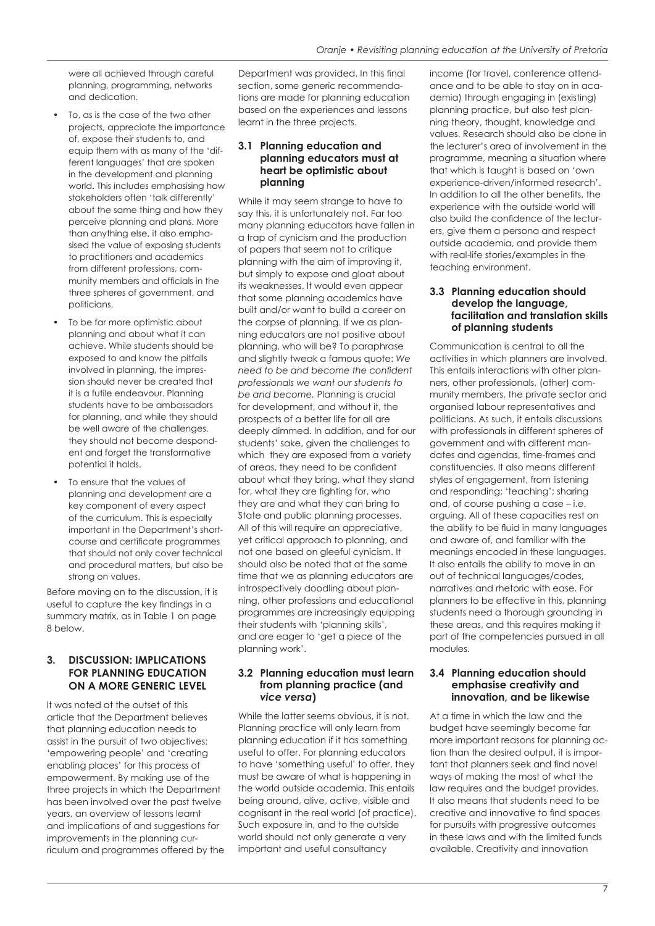were all achieved through careful planning, programming, networks and dedication.

- To, as is the case of the two other projects, appreciate the importance of, expose their students to, and equip them with as many of the 'different languages' that are spoken in the development and planning world. This includes emphasising how stakeholders often 'talk differently' about the same thing and how they perceive planning and plans. More than anything else, it also emphasised the value of exposing students to practitioners and academics from different professions, community members and officials in the three spheres of government, and politicians.
- To be far more optimistic about planning and about what it can achieve. While students should be exposed to and know the pitfalls involved in planning, the impression should never be created that it is a futile endeavour. Planning students have to be ambassadors for planning, and while they should be well aware of the challenges, they should not become despondent and forget the transformative potential it holds.
- To ensure that the values of planning and development are a key component of every aspect of the curriculum. This is especially important in the Department's shortcourse and certificate programmes that should not only cover technical and procedural matters, but also be strong on values.

Before moving on to the discussion, it is useful to capture the key findings in a summary matrix, as in Table 1 on page 8 below.

# **3. DISCUSSION: IMPLICATIONS FOR PLANNING EDUCATION ON A MORE GENERIC LEVEL**

It was noted at the outset of this article that the Department believes that planning education needs to assist in the pursuit of two objectives: 'empowering people' and 'creating enabling places' for this process of empowerment. By making use of the three projects in which the Department has been involved over the past twelve years, an overview of lessons learnt and implications of and suggestions for improvements in the planning curriculum and programmes offered by the Department was provided. In this final section, some generic recommendations are made for planning education based on the experiences and lessons learnt in the three projects.

#### **3.1 Planning education and planning educators must at heart be optimistic about planning**

While it may seem strange to have to say this, it is unfortunately not. Far too many planning educators have fallen in a trap of cynicism and the production of papers that seem not to critique planning with the aim of improving it, but simply to expose and gloat about its weaknesses. It would even appear that some planning academics have built and/or want to build a career on the corpse of planning. If we as planning educators are not positive about planning, who will be? To paraphrase and slightly tweak a famous quote: *We need to be and become the confident professionals we want our students to be and become.* Planning is crucial for development, and without it, the prospects of a better life for all are deeply dimmed. In addition, and for our students' sake, given the challenges to which they are exposed from a variety of areas, they need to be confident about what they bring, what they stand for, what they are fighting for, who they are and what they can bring to State and public planning processes. All of this will require an appreciative, yet critical approach to planning, and not one based on gleeful cynicism. It should also be noted that at the same time that we as planning educators are introspectively doodling about planning, other professions and educational programmes are increasingly equipping their students with 'planning skills', and are eager to 'get a piece of the planning work'.

#### **3.2 Planning education must learn from planning practice (and**  *vice versa***)**

While the latter seems obvious, it is not. Planning practice will only learn from planning education if it has something useful to offer. For planning educators to have 'something useful' to offer, they must be aware of what is happening in the world outside academia. This entails being around, alive, active, visible and cognisant in the real world (of practice). Such exposure in, and to the outside world should not only generate a very important and useful consultancy

income (for travel, conference attendance and to be able to stay on in academia) through engaging in (existing) planning practice, but also test planning theory, thought, knowledge and values. Research should also be done in the lecturer's area of involvement in the programme, meaning a situation where that which is taught is based on 'own experience-driven/informed research'. In addition to all the other benefits, the experience with the outside world will also build the confidence of the lecturers, give them a persona and respect outside academia, and provide them with real-life stories/examples in the teaching environment.

#### **3.3 Planning education should develop the language, facilitation and translation skills of planning students**

Communication is central to all the activities in which planners are involved. This entails interactions with other planners, other professionals, (other) community members, the private sector and organised labour representatives and politicians. As such, it entails discussions with professionals in different spheres of government and with different mandates and agendas, time-frames and constituencies. It also means different styles of engagement, from listening and responding; 'teaching'; sharing and, of course pushing a case – i.e. arguing. All of these capacities rest on the ability to be fluid in many languages and aware of, and familiar with the meanings encoded in these languages. It also entails the ability to move in an out of technical languages/codes, narratives and rhetoric with ease. For planners to be effective in this, planning students need a thorough grounding in these areas, and this requires making it part of the competencies pursued in all modules.

#### **3.4 Planning education should emphasise creativity and innovation, and be likewise**

At a time in which the law and the budget have seemingly become far more important reasons for planning action than the desired output, it is important that planners seek and find novel ways of making the most of what the law requires and the budget provides. It also means that students need to be creative and innovative to find spaces for pursuits with progressive outcomes in these laws and with the limited funds available. Creativity and innovation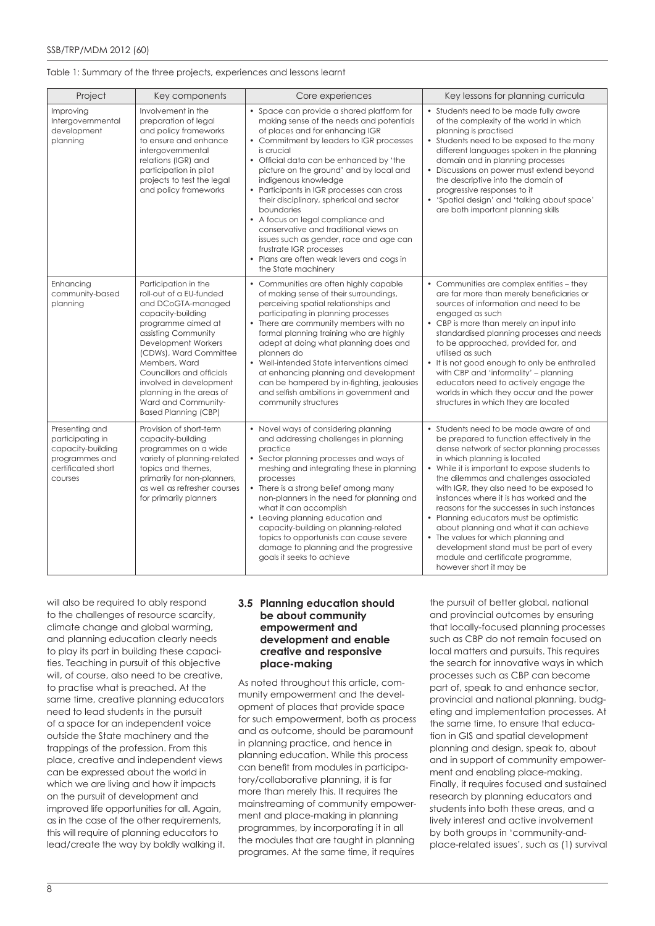#### Table 1: Summary of the three projects, experiences and lessons learnt

| Project                                                                                                    | Key components                                                                                                                                                                                                                                                                                                                                      | Core experiences                                                                                                                                                                                                                                                                                                                                                                                                                                                                                                                                                                                                              | Key lessons for planning curricula                                                                                                                                                                                                                                                                                                                                                                                                                                                                                                                                                                                                            |
|------------------------------------------------------------------------------------------------------------|-----------------------------------------------------------------------------------------------------------------------------------------------------------------------------------------------------------------------------------------------------------------------------------------------------------------------------------------------------|-------------------------------------------------------------------------------------------------------------------------------------------------------------------------------------------------------------------------------------------------------------------------------------------------------------------------------------------------------------------------------------------------------------------------------------------------------------------------------------------------------------------------------------------------------------------------------------------------------------------------------|-----------------------------------------------------------------------------------------------------------------------------------------------------------------------------------------------------------------------------------------------------------------------------------------------------------------------------------------------------------------------------------------------------------------------------------------------------------------------------------------------------------------------------------------------------------------------------------------------------------------------------------------------|
| Improving<br>Intergovernmental<br>development<br>planning                                                  | Involvement in the<br>preparation of legal<br>and policy frameworks<br>to ensure and enhance<br>intergovernmental<br>relations (IGR) and<br>participation in pilot<br>projects to test the legal<br>and policy frameworks                                                                                                                           | Space can provide a shared platform for<br>making sense of the needs and potentials<br>of places and for enhancing IGR<br>• Commitment by leaders to IGR processes<br>is crucial<br>• Official data can be enhanced by 'the<br>picture on the ground' and by local and<br>indigenous knowledge<br>• Participants in IGR processes can cross<br>their disciplinary, spherical and sector<br>boundaries<br>• A focus on legal compliance and<br>conservative and traditional views on<br>issues such as gender, race and age can<br>frustrate IGR processes<br>• Plans are often weak levers and cogs in<br>the State machinery | • Students need to be made fully aware<br>of the complexity of the world in which<br>planning is practised<br>• Students need to be exposed to the many<br>different languages spoken in the planning<br>domain and in planning processes<br>Discussions on power must extend beyond<br>the descriptive into the domain of<br>progressive responses to it<br>'Spatial design' and 'talking about space'<br>$\bullet$<br>are both important planning skills                                                                                                                                                                                    |
| Enhancing<br>community-based<br>planning                                                                   | Participation in the<br>roll-out of a EU-funded<br>and DCoGTA-managed<br>capacity-building<br>programme aimed at<br>assisting Community<br>Development Workers<br>(CDWs), Ward Committee<br>Members, Ward<br>Councillors and officials<br>involved in development<br>planning in the areas of<br>Ward and Community-<br><b>Based Planning (CBP)</b> | • Communities are often highly capable<br>of making sense of their surroundings,<br>perceiving spatial relationships and<br>participating in planning processes<br>• There are community members with no<br>formal planning training who are highly<br>adept at doing what planning does and<br>planners do<br>• Well-intended State interventions aimed<br>at enhancing planning and development<br>can be hampered by in-fighting, jealousies<br>and selfish ambitions in government and<br>community structures                                                                                                            | • Communities are complex entities - they<br>are far more than merely beneficiaries or<br>sources of information and need to be<br>engaged as such<br>• CBP is more than merely an input into<br>standardised planning processes and needs<br>to be approached, provided for, and<br>utilised as such<br>• It is not good enough to only be enthralled<br>with CBP and 'informality' - planning<br>educators need to actively engage the<br>worlds in which they occur and the power<br>structures in which they are located                                                                                                                  |
| Presenting and<br>participating in<br>capacity-building<br>programmes and<br>certificated short<br>courses | Provision of short-term<br>capacity-building<br>programmes on a wide<br>variety of planning-related<br>topics and themes,<br>primarily for non-planners,<br>as well as refresher courses<br>for primarily planners                                                                                                                                  | • Novel ways of considering planning<br>and addressing challenges in planning<br>practice<br>Sector planning processes and ways of<br>meshing and integrating these in planning<br>processes<br>• There is a strong belief among many<br>non-planners in the need for planning and<br>what it can accomplish<br>• Leaving planning education and<br>capacity-building on planning-related<br>topics to opportunists can cause severe<br>damage to planning and the progressive<br>goals it seeks to achieve                                                                                                                   | • Students need to be made aware of and<br>be prepared to function effectively in the<br>dense network of sector planning processes<br>in which planning is located<br>• While it is important to expose students to<br>the dilemmas and challenges associated<br>with IGR, they also need to be exposed to<br>instances where it is has worked and the<br>reasons for the successes in such instances<br>• Planning educators must be optimistic<br>about planning and what it can achieve<br>• The values for which planning and<br>development stand must be part of every<br>module and certificate programme,<br>however short it may be |

will also be required to ably respond to the challenges of resource scarcity, climate change and global warming, and planning education clearly needs to play its part in building these capacities. Teaching in pursuit of this objective will, of course, also need to be creative, to practise what is preached. At the same time, creative planning educators need to lead students in the pursuit of a space for an independent voice outside the State machinery and the trappings of the profession. From this place, creative and independent views can be expressed about the world in which we are living and how it impacts on the pursuit of development and improved life opportunities for all. Again, as in the case of the other requirements, this will require of planning educators to lead/create the way by boldly walking it.

#### **3.5 Planning education should be about community empowerment and development and enable creative and responsive place-making**

As noted throughout this article, community empowerment and the development of places that provide space for such empowerment, both as process and as outcome, should be paramount in planning practice, and hence in planning education. While this process can benefit from modules in participatory/collaborative planning, it is far more than merely this. It requires the mainstreaming of community empowerment and place-making in planning programmes, by incorporating it in all the modules that are taught in planning programes. At the same time, it requires

the pursuit of better global, national and provincial outcomes by ensuring that locally-focused planning processes such as CBP do not remain focused on local matters and pursuits. This requires the search for innovative ways in which processes such as CBP can become part of, speak to and enhance sector, provincial and national planning, budgeting and implementation processes. At the same time, to ensure that education in GIS and spatial development planning and design, speak to, about and in support of community empowerment and enabling place-making. Finally, it requires focused and sustained research by planning educators and students into both these areas, and a lively interest and active involvement by both groups in 'community-andplace-related issues', such as (1) survival